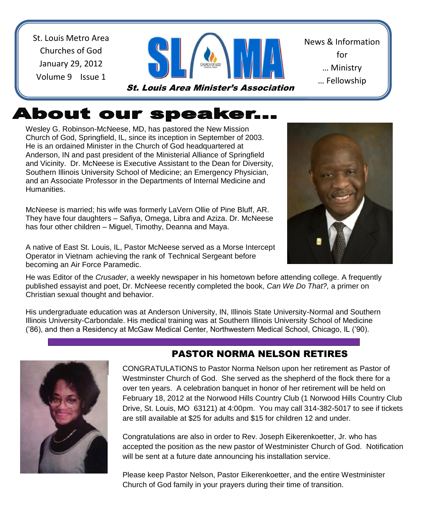St. Louis Metro Area Churches of God January 29, 2012 Volume 9 Issue 1



News & Information for … Ministry … Fellowship

<u>… Sharing Shari</u>

# About our speaker...

Wesley G. Robinson-McNeese, MD, has pastored the New Mission Church of God, Springfield, IL, since its inception in September of 2003. He is an ordained Minister in the Church of God headquartered at Anderson, IN and past president of the Ministerial Alliance of Springfield and Vicinity. Dr. McNeese is Executive Assistant to the Dean for Diversity, Southern Illinois University School of Medicine; an Emergency Physician, and an Associate Professor in the Departments of Internal Medicine and Humanities.

McNeese is married; his wife was formerly LaVern Ollie of Pine Bluff, AR. They have four daughters – Safiya, Omega, Libra and Aziza. Dr. McNeese has four other children – Miguel, Timothy, Deanna and Maya.

 becoming an Air Force Paramedic. A native of East St. Louis, IL, Pastor McNeese served as a Morse Intercept Operator in Vietnam achieving the rank of Technical Sergeant before

He was Editor of the *Crusader*, a weekly newspaper in his hometown before attending college. A frequently published essayist and poet, Dr. McNeese recently completed the book, *Can We Do That?,* a primer on Christian sexual thought and behavior.

His undergraduate education was at Anderson University, IN, Illinois State University-Normal and Southern Illinois University-Carbondale. His medical training was at Southern Illinois University School of Medicine ('86), and then a Residency at McGaw Medical Center, Northwestern Medical School, Chicago, IL ('90).



### PASTOR NORMA NELSON RETIRES

arrest can be also the control of the still available at \$25 for adults and \$15 for children 12 and under. CONGRATULATIONS to Pastor Norma Nelson upon her retirement as Pastor of Westminster Church of God. She served as the shepherd of the flock there for a over ten years. A celebration banquet in honor of her retirement will be held on February 18, 2012 at the Norwood Hills Country Club (1 Norwood Hills Country Club Drive, St. Louis, MO 63121) at 4:00pm. You may call 314-382-5017 to see if tickets

 Congratulations are also in order to Rev. Joseph Eikerenkoetter, Jr. who has accepted the position as the new pastor of Westminister Church of God. Notification will be sent at a future date announcing his installation service.

Please keep Pastor Nelson, Pastor Eikerenkoetter, and the entire Westminister Church of God family in your prayers during their time of transition.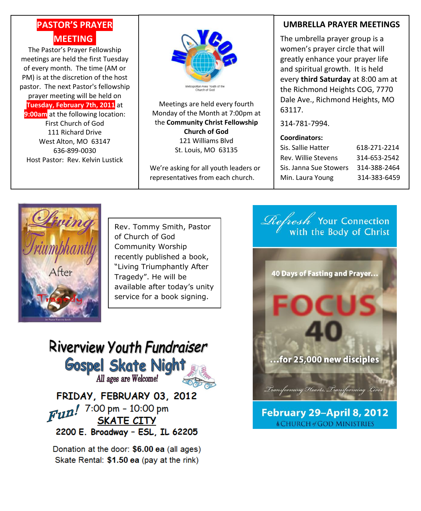### **PASTOR'S PRAYER MEETING.**

The Pastor's Prayer Fellowship meetings are held the first Tuesday of every month. The time (AM or PM) is at the discretion of the host pastor. The next Pastor's fellowship prayer meeting will be held on **Tuesday, February 7th, 2011** at **9:00am** at the following location: First Church of God 111 Richard Drive West Alton, MO 63147 636-899-0030

Host Pastor: Rev. Kelvin Lustick



Meetings are held every fourth Monday of the Month at 7:00pm at the **Community Christ Fellowship Church of God** 121 Williams Blvd St. Louis, MO 63135

We're asking for all youth leaders or representatives from each church.

#### **UMBRELLA PRAYER MEETINGS**

The umbrella prayer group is a women's prayer circle that will greatly enhance your prayer life and spiritual growth. It is held every **third Saturday** at 8:00 am at the Richmond Heights COG, 7770 Dale Ave., Richmond Heights, MO 63117.

314-781-7994.

#### **Coordinators:**

| Sis. Sallie Hatter     | 618-271-2214 |
|------------------------|--------------|
| Rev. Willie Stevens    | 314-653-2542 |
| Sis. Janna Sue Stowers | 314-388-2464 |
| Min. Laura Young       | 314-383-6459 |



Rev. Tommy Smith, Pastor of Church of God Community Worship recently published a book, "Living Triumphantly After Tragedy". He will be available after today's unity service for a book signing.

Riverview Youth Fundraiser **Gospel Skate Night** All ages are Welcome! FRIDAY, FEBRUARY 03, 2012  $\frac{1}{2}$   $\frac{1}{2}$   $\frac{1}{2}$   $\frac{1}{2}$   $\frac{1}{2}$   $\frac{1}{2}$   $\frac{1}{2}$   $\frac{1}{2}$   $\frac{1}{2}$   $\frac{1}{2}$   $\frac{1}{2}$   $\frac{1}{2}$   $\frac{1}{2}$   $\frac{1}{2}$   $\frac{1}{2}$   $\frac{1}{2}$   $\frac{1}{2}$   $\frac{1}{2}$   $\frac{1}{2}$   $\frac{1}{2}$   $\frac{1}{2}$   $\frac{1}{2}$  **SKATE CITY** 2200 E. Broadway - ESL, IL 62205

Donation at the door: \$6.00 ea (all ages) Skate Rental: \$1.50 ea (pay at the rink)



**& CHURCH of GOD MINISTRIES**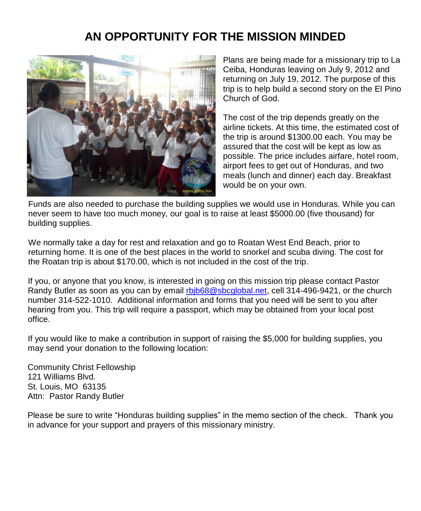## **AN OPPORTUNITY FOR THE MISSION MINDED**



Plans are being made for a missionary trip to La Ceiba, Honduras leaving on July 9, 2012 and returning on July 19, 2012. The purpose of this trip is to help build a second story on the El Pino Church of God.

The cost of the trip depends greatly on the airline tickets. At this time, the estimated cost of the trip is around \$1300.00 each. You may be assured that the cost will be kept as low as possible. The price includes airfare, hotel room, airport fees to get out of Honduras, and two meals (lunch and dinner) each day. Breakfast would be on your own.

Funds are also needed to purchase the building supplies we would use in Honduras. While you can never seem to have too much money, our goal is to raise at least \$5000.00 (five thousand) for building supplies.

We normally take a day for rest and relaxation and go to Roatan West End Beach, prior to returning home. It is one of the best places in the world to snorkel and scuba diving. The cost for the Roatan trip is about \$170.00, which is not included in the cost of the trip.

If you, or anyone that you know, is interested in going on this mission trip please contact Pastor Randy Butler as soon as you can by email [rbjb68@sbcglobal.net,](mailto:rbjb68@sbcglobal.net) cell 314-496-9421, or the church number 314-522-1010. Additional information and forms that you need will be sent to you after hearing from you. This trip will require a passport, which may be obtained from your local post office.

If you would like to make a contribution in support of raising the \$5,000 for building supplies, you may send your donation to the following location:

Community Christ Fellowship 121 Williams Blvd. St. Louis, MO 63135 Attn: Pastor Randy Butler

Please be sure to write "Honduras building supplies" in the memo section of the check. Thank you in advance for your support and prayers of this missionary ministry.